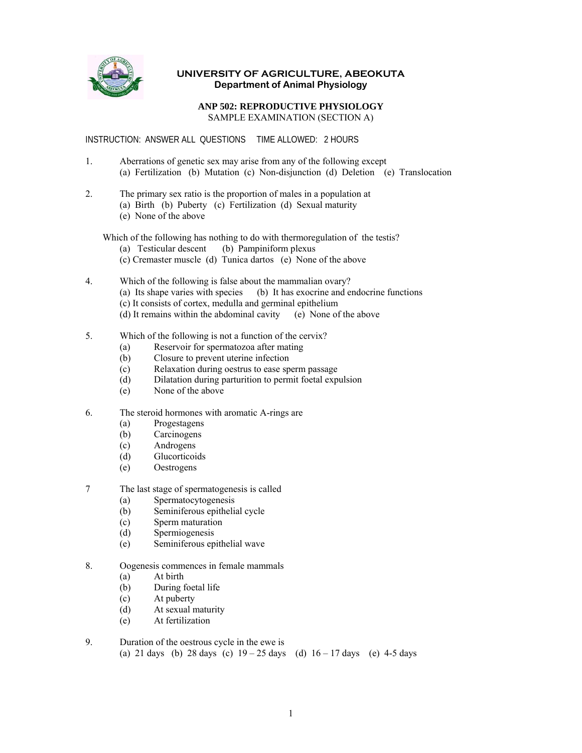

## **UNIVERSITY OF AGRICULTURE, ABEOKUTA Department of Animal Physiology**

## **ANP 502: REPRODUCTIVE PHYSIOLOGY**  SAMPLE EXAMINATION (SECTION A)

INSTRUCTION: ANSWER ALL QUESTIONS TIME ALLOWED: 2 HOURS

- 1. Aberrations of genetic sex may arise from any of the following except (a) Fertilization (b) Mutation (c) Non-disjunction (d) Deletion (e) Translocation
- 2. The primary sex ratio is the proportion of males in a population at
	- (a) Birth (b) Puberty (c) Fertilization (d) Sexual maturity
	- (e) None of the above

Which of the following has nothing to do with thermoregulation of the testis?

- (a) Testicular descent (b) Pampiniform plexus
- (c) Cremaster muscle (d) Tunica dartos (e) None of the above
- 4. Which of the following is false about the mammalian ovary? (a) Its shape varies with species (b) It has exocrine and endocrine functions (c) It consists of cortex, medulla and germinal epithelium (d) It remains within the abdominal cavity (e) None of the above
- 5. Which of the following is not a function of the cervix?
	- (a) Reservoir for spermatozoa after mating
	- (b) Closure to prevent uterine infection
	- (c) Relaxation during oestrus to ease sperm passage<br>
	(d) Dilatation during parturition to permit foetal expo
	- Dilatation during parturition to permit foetal expulsion
	- (e) None of the above
- 6. The steroid hormones with aromatic A-rings are
	- (a) Progestagens
	- (b) Carcinogens
	- (c) Androgens
	- (d) Glucorticoids
	- (e) Oestrogens
- 7 The last stage of spermatogenesis is called
	- (a) Spermatocytogenesis
	- (b) Seminiferous epithelial cycle
	- (c) Sperm maturation
	- (d) Spermiogenesis
	- (e) Seminiferous epithelial wave
- 8. Oogenesis commences in female mammals
	- (a) At birth
	- (b) During foetal life
	- (c) At puberty
	- (d) At sexual maturity
	- (e) At fertilization
- 9. Duration of the oestrous cycle in the ewe is (a) 21 days (b) 28 days (c)  $19 - 25$  days (d)  $16 - 17$  days (e) 4-5 days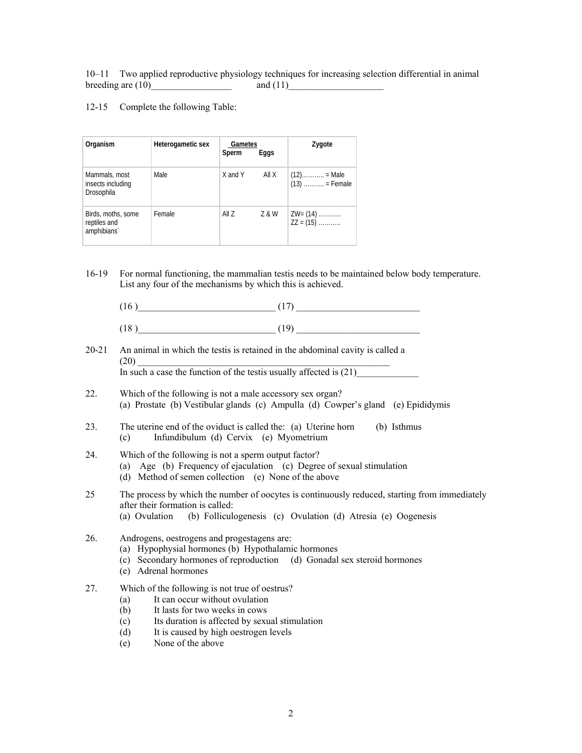10–11 Two applied reproductive physiology techniques for increasing selection differential in animal breeding are  $(10)$  and  $(11)$ 

## 12-15 Complete the following Table:

| Organism                                          | Heterogametic sex | Gametes<br>Sperm | Eggs  | Zygote                   |
|---------------------------------------------------|-------------------|------------------|-------|--------------------------|
| Mammals, most<br>insects including<br>Drosophila  | Male              | X and Y          | All X | $(13)$ = Female          |
| Birds, moths, some<br>reptiles and<br>amphibians` | Female            | All Z            | Z & W | $ZW=(14)$<br>$ZZ = (15)$ |

- 16-19 For normal functioning, the mammalian testis needs to be maintained below body temperature. List any four of the mechanisms by which this is achieved.
	- $(16)$   $(17)$
	- $(18)$   $(19)$
- 20-21 An animal in which the testis is retained in the abdominal cavity is called a  $(20)$

In such a case the function of the testis usually affected is  $(21)$ 

- 22. Which of the following is not a male accessory sex organ? (a) Prostate (b) Vestibular glands (c) Ampulla (d) Cowper's gland (e) Epididymis
- 23. The uterine end of the oviduct is called the: (a) Uterine horn (b) Isthmus (c) Infundibulum (d) Cervix (e) Myometrium
- 24. Which of the following is not a sperm output factor?
	- (a) Age (b) Frequency of ejaculation (c) Degree of sexual stimulation
		- (d) Method of semen collection (e) None of the above
- 25 The process by which the number of oocytes is continuously reduced, starting from immediately after their formation is called: (a) Ovulation (b) Folliculogenesis (c) Ovulation (d) Atresia (e) Oogenesis
	-
- 26. Androgens, oestrogens and progestagens are:
	- (a) Hypophysial hormones (b) Hypothalamic hormones
	- (c) Secondary hormones of reproduction (d) Gonadal sex steroid hormones
	- (e) Adrenal hormones
- 27. Which of the following is not true of oestrus?
	- (a) It can occur without ovulation
	- (b) It lasts for two weeks in cows
	- (c) Its duration is affected by sexual stimulation
	- (d) It is caused by high oestrogen levels
	- (e) None of the above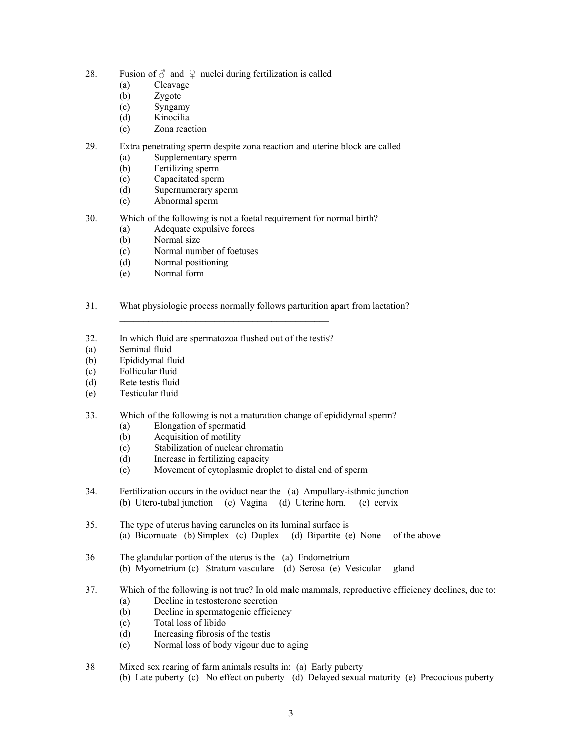- 28. Fusion of  $\delta$  and  $\varphi$  nuclei during fertilization is called
	- (a) Cleavage
	- (b) Zygote
	- (c) Syngamy
	- (d) Kinocilia
	- (e) Zona reaction
- 29. Extra penetrating sperm despite zona reaction and uterine block are called
	- (a) Supplementary sperm
	- (b) Fertilizing sperm
	- (c) Capacitated sperm
	- (d) Supernumerary sperm
	- (e) Abnormal sperm
- 30. Which of the following is not a foetal requirement for normal birth?
	- (a) Adequate expulsive forces
	- (b) Normal size
	- (c) Normal number of foetuses
	- (d) Normal positioning
	- (e) Normal form
- 31. What physiologic process normally follows parturition apart from lactation?
- 32. In which fluid are spermatozoa flushed out of the testis?
- (a) Seminal fluid
- (b) Epididymal fluid
- (c) Follicular fluid
- (d) Rete testis fluid
- (e) Testicular fluid
- 33. Which of the following is not a maturation change of epididymal sperm?
	- (a) Elongation of spermatid
	- (b) Acquisition of motility
	- (c) Stabilization of nuclear chromatin
	- (d) Increase in fertilizing capacity
	- (e) Movement of cytoplasmic droplet to distal end of sperm
- 34. Fertilization occurs in the oviduct near the (a) Ampullary-isthmic junction (b) Utero-tubal junction (c) Vagina (d) Uterine horn. (e) cervix
- 35. The type of uterus having caruncles on its luminal surface is (a) Bicornuate (b) Simplex (c) Duplex (d) Bipartite (e) None of the above
- 36 The glandular portion of the uterus is the (a) Endometrium (b) Myometrium (c) Stratum vasculare (d) Serosa (e) Vesicular gland
- 37. Which of the following is not true? In old male mammals, reproductive efficiency declines, due to:
	- (a) Decline in testosterone secretion
	- (b) Decline in spermatogenic efficiency
	- (c) Total loss of libido
	- (d) Increasing fibrosis of the testis
	- (e) Normal loss of body vigour due to aging
- 38 Mixed sex rearing of farm animals results in: (a) Early puberty
	- (b) Late puberty (c) No effect on puberty (d) Delayed sexual maturity (e) Precocious puberty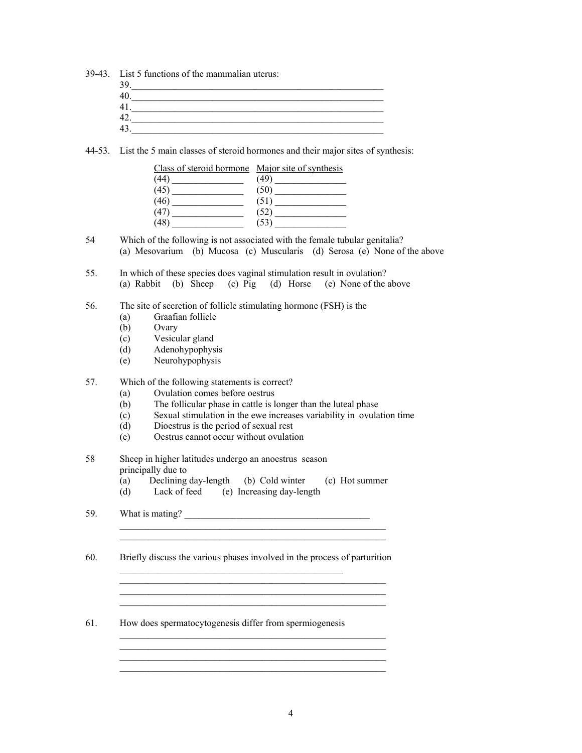39-43. List 5 functions of the mammalian uterus: 39.\_\_\_\_\_\_\_\_\_\_\_\_\_\_\_\_\_\_\_\_\_\_\_\_\_\_\_\_\_\_\_\_\_\_\_\_\_\_\_\_\_\_\_\_\_\_\_\_\_\_\_\_\_ 40.\_\_\_\_\_\_\_\_\_\_\_\_\_\_\_\_\_\_\_\_\_\_\_\_\_\_\_\_\_\_\_\_\_\_\_\_\_\_\_\_\_\_\_\_\_\_\_\_\_\_\_\_\_ 41. 42.  $43.$ 

44-53. List the 5 main classes of steroid hormones and their major sites of synthesis:

| Class of steroid hormone Major site of synthesis |                                                                     |
|--------------------------------------------------|---------------------------------------------------------------------|
| (44)                                             | (49)<br>the control of the control of the control of the control of |
| (45)                                             | (50)                                                                |
| (46)                                             | (51)                                                                |
| (47)                                             | (52)                                                                |
| 48                                               | 53                                                                  |

54 Which of the following is not associated with the female tubular genitalia? (a) Mesovarium (b) Mucosa (c) Muscularis (d) Serosa (e) None of the above

55. In which of these species does vaginal stimulation result in ovulation? (a) Rabbit (b) Sheep (c) Pig (d) Horse (e) None of the above

56. The site of secretion of follicle stimulating hormone (FSH) is the

- (a) Graafian follicle
- (b) Ovary
- (c) Vesicular gland
- (d) Adenohypophysis
- (e) Neurohypophysis

## 57. Which of the following statements is correct?

- (a) Ovulation comes before oestrus
- (b) The follicular phase in cattle is longer than the luteal phase
- (c) Sexual stimulation in the ewe increases variability in ovulation time
- (d) Dioestrus is the period of sexual rest
- (e) Oestrus cannot occur without ovulation

58 Sheep in higher latitudes undergo an anoestrus season principally due to

- (a) Declining day-length (b) Cold winter (c) Hot summer
- (d) Lack of feed (e) Increasing day-length

59. What is mating?  $\frac{1}{2}$  what is mating?

60. Briefly discuss the various phases involved in the process of parturition  $\mathcal{L}_\text{max}$  and the contract of the contract of the contract of the contract of the contract of the contract of the contract of the contract of the contract of the contract of the contract of the contract of the contrac

 $\mathcal{L}_\text{max}$  and the contract of the contract of the contract of the contract of the contract of the contract of

 $\mathcal{L}_\text{max}$  and the contract of the contract of the contract of the contract of the contract of the contract of

 $\mathcal{L}_\text{max} = \frac{1}{2} \sum_{i=1}^n \frac{1}{2} \sum_{i=1}^n \frac{1}{2} \sum_{i=1}^n \frac{1}{2} \sum_{i=1}^n \frac{1}{2} \sum_{i=1}^n \frac{1}{2} \sum_{i=1}^n \frac{1}{2} \sum_{i=1}^n \frac{1}{2} \sum_{i=1}^n \frac{1}{2} \sum_{i=1}^n \frac{1}{2} \sum_{i=1}^n \frac{1}{2} \sum_{i=1}^n \frac{1}{2} \sum_{i=1}^n \frac{1}{2} \sum_{i=1}^n$ 

\_\_\_\_\_\_\_\_\_\_\_\_\_\_\_\_\_\_\_\_\_\_\_\_\_\_\_\_\_\_\_\_\_\_\_\_\_\_\_\_\_\_\_\_\_\_\_\_\_\_\_\_\_\_\_\_

 $\mathcal{L}_\text{max}$  and the contract of the contract of the contract of the contract of the contract of the contract of

61. How does spermatocytogenesis differ from spermiogenesis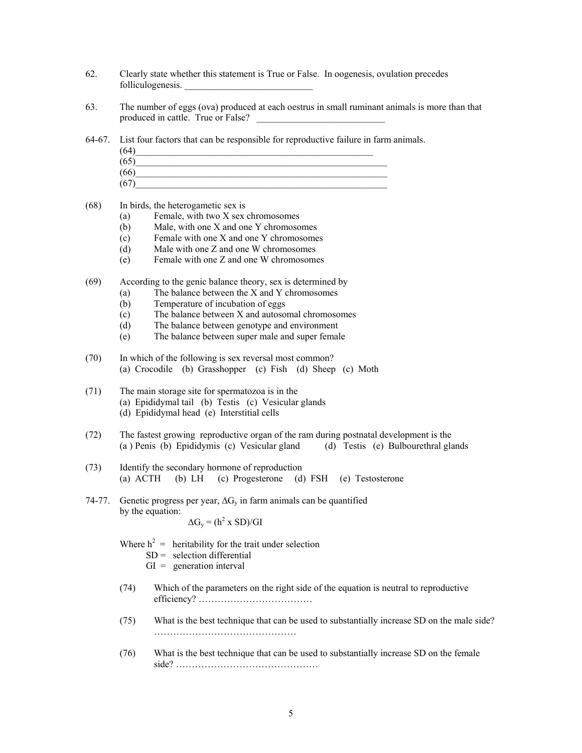- 62. Clearly state whether this statement is True or False. In oogenesis, ovulation precedes folliculogenesis.
- 63. The number of eggs (ova) produced at each oestrus in small ruminant animals is more than that produced in cattle. True or False?
- 64-67. List four factors that can be responsible for reproductive failure in farm animals.
- $(64)$  (65)\_\_\_\_\_\_\_\_\_\_\_\_\_\_\_\_\_\_\_\_\_\_\_\_\_\_\_\_\_\_\_\_\_\_\_\_\_\_\_\_\_\_\_\_\_\_\_\_\_\_\_\_\_  $(66)$  $(67)$
- (68) In birds, the heterogametic sex is
	- (a) Female, with two X sex chromosomes
	- (b) Male, with one X and one Y chromosomes
	- (c) Female with one X and one Y chromosomes
	- (d) Male with one Z and one W chromosomes
	- (e) Female with one Z and one W chromosomes
- (69) According to the genic balance theory, sex is determined by
	- (a) The balance between the X and Y chromosomes
	- (b) Temperature of incubation of eggs
	- (c) The balance between X and autosomal chromosomes
	- (d) The balance between genotype and environment
	- (e) The balance between super male and super female
- (70) In which of the following is sex reversal most common? (a) Crocodile (b) Grasshopper (c) Fish (d) Sheep (c) Moth
- (71) The main storage site for spermatozoa is in the (a) Epididymal tail (b) Testis (c) Vesicular glands (d) Epididymal head (e) Interstitial cells
- (72) The fastest growing reproductive organ of the ram during postnatal development is the (a ) Penis (b) Epididymis (c) Vesicular gland (d) Testis (e) Bulbourethral glands
- (73) Identify the secondary hormone of reproduction (a) ACTH (b) LH (c) Progesterone (d) FSH (e) Testosterone
- 74-77. Genetic progress per year,  $\Delta G_v$  in farm animals can be quantified by the equation:  $\Delta G_y = (h^2 \times SD)/GI$

Where  $h^2$  = heritability for the trait under selection

- $SD =$  selection differential
- $GI = generation interval$
- (74) Which of the parameters on the right side of the equation is neutral to reproductive efficiency? ………………………………
- (75) What is the best technique that can be used to substantially increase SD on the male side? ………………………………………
- (76) What is the best technique that can be used to substantially increase SD on the female side? ………………………………………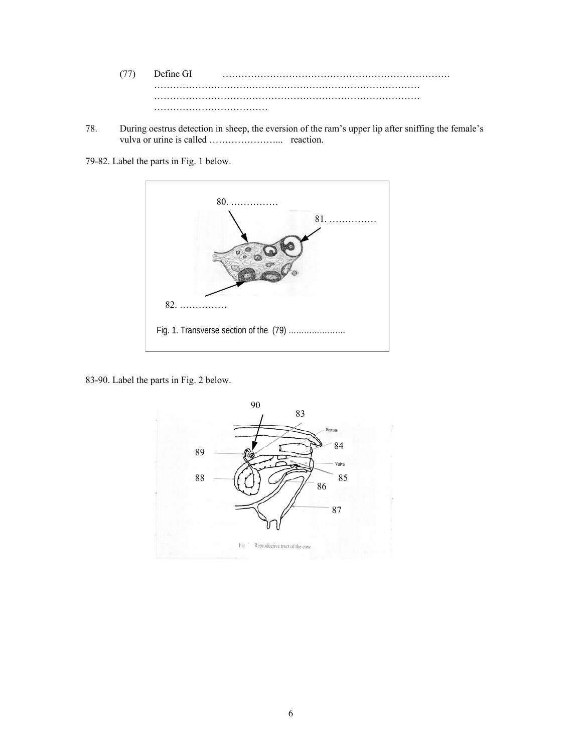(77) Define GI ……………………………………………………………… ………………………………………………………………………… ………………………………………………………………………… ……………………………………………

78. During oestrus detection in sheep, the eversion of the ram's upper lip after sniffing the female's vulva or urine is called …………………... reaction.

79-82. Label the parts in Fig. 1 below.



83-90. Label the parts in Fig. 2 below.